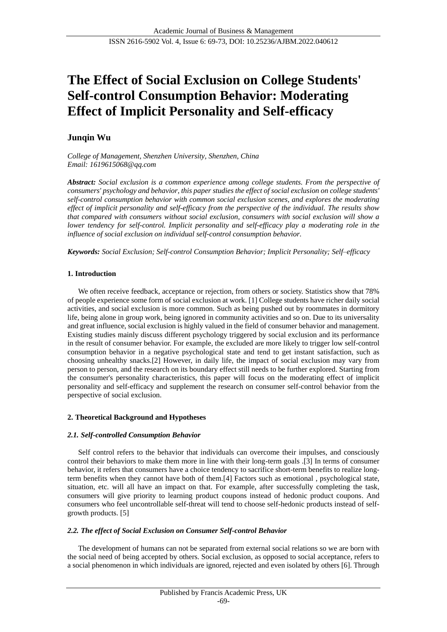# **The Effect of Social Exclusion on College Students' Self-control Consumption Behavior: Moderating Effect of Implicit Personality and Self-efficacy**

## **Junqin Wu**

*College of Management, Shenzhen University, Shenzhen, China Email: 1619615068@qq.com*

*Abstract: Social exclusion is a common experience among college students. From the perspective of consumers' psychology and behavior, this paper studies the effect of social exclusion on college students' self-control consumption behavior with common social exclusion scenes, and explores the moderating effect of implicit personality and self-efficacy from the perspective of the individual. The results show that compared with consumers without social exclusion, consumers with social exclusion will show a lower tendency for self-control. Implicit personality and self-efficacy play a moderating role in the influence of social exclusion on individual self-control consumption behavior.*

*Keywords: Social Exclusion; Self-control Consumption Behavior; Implicit Personality; Self–efficacy*

## **1. Introduction**

We often receive feedback, acceptance or rejection, from others or society. Statistics show that 78% of people experience some form of social exclusion at work. [1] College students have richer daily social activities, and social exclusion is more common. Such as being pushed out by roommates in dormitory life, being alone in group work, being ignored in community activities and so on. Due to its universality and great influence, social exclusion is highly valued in the field of consumer behavior and management. Existing studies mainly discuss different psychology triggered by social exclusion and its performance in the result of consumer behavior. For example, the excluded are more likely to trigger low self-control consumption behavior in a negative psychological state and tend to get instant satisfaction, such as choosing unhealthy snacks.[2] However, in daily life, the impact of social exclusion may vary from person to person, and the research on its boundary effect still needs to be further explored. Starting from the consumer's personality characteristics, this paper will focus on the moderating effect of implicit personality and self-efficacy and supplement the research on consumer self-control behavior from the perspective of social exclusion.

## **2. Theoretical Background and Hypotheses**

## *2.1. Self-controlled Consumption Behavior*

Self control refers to the behavior that individuals can overcome their impulses, and consciously control their behaviors to make them more in line with their long-term goals .[3] In terms of consumer behavior, it refers that consumers have a choice tendency to sacrifice short-term benefits to realize longterm benefits when they cannot have both of them.[4] Factors such as emotional , psychological state, situation, etc. will all have an impact on that. For example, after successfully completing the task, consumers will give priority to learning product coupons instead of hedonic product coupons. And consumers who feel uncontrollable self-threat will tend to choose self-hedonic products instead of selfgrowth products. [5]

## *2.2. The effect of Social Exclusion on Consumer Self-control Behavior*

The development of humans can not be separated from external social relations so we are born with the social need of being accepted by others. Social exclusion, as opposed to social acceptance, refers to a social phenomenon in which individuals are ignored, rejected and even isolated by others [6]. Through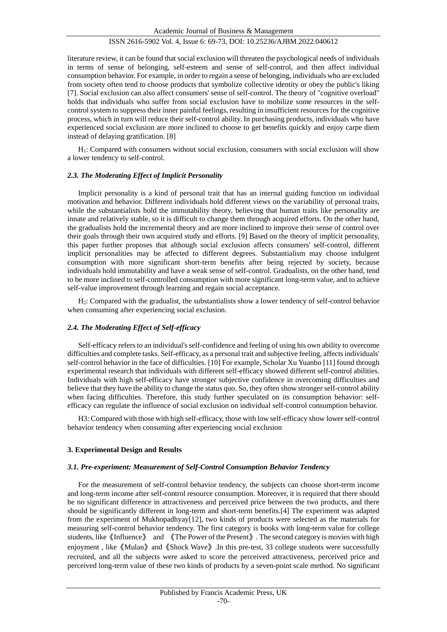literature review, it can be found that social exclusion will threaten the psychological needs of individuals in terms of sense of belonging, self-esteem and sense of self-control, and then affect individual consumption behavior. For example, in order to regain a sense of belonging, individuals who are excluded from society often tend to choose products that symbolize collective identity or obey the public's liking [7]. Social exclusion can also affect consumers' sense of self-control. The theory of "cognitive overload" holds that individuals who suffer from social exclusion have to mobilize some resources in the selfcontrol system to suppress their inner painful feelings, resulting in insufficient resources for the cognitive process, which in turn will reduce their self-control ability. In purchasing products, individuals who have experienced social exclusion are more inclined to choose to get benefits quickly and enjoy carpe diem instead of delaying gratification. [8]

H1: Compared with consumers without social exclusion, consumers with social exclusion will show a lower tendency to self-control.

## *2.3. The Moderating Effect of Implicit Personality*

Implicit personality is a kind of personal trait that has an internal guiding function on individual motivation and behavior. Different individuals hold different views on the variability of personal traits, while the substantialists hold the immutability theory, believing that human traits like personality are innate and relatively stable, so it is difficult to change them through acquired efforts. On the other hand, the gradualists hold the incremental theory and are more inclined to improve their sense of control over their goals through their own acquired study and efforts. [9] Based on the theory of implicit personality, this paper further proposes that although social exclusion affects consumers' self-control, different implicit personalities may be affected to different degrees. Substantialism may choose indulgent consumption with more significant short-term benefits after being rejected by society, because individuals hold immutability and have a weak sense of self-control. Gradualists, on the other hand, tend to be more inclined to self-controlled consumption with more significant long-term value, and to achieve self-value improvement through learning and regain social acceptance.

H2: Compared with the gradualist, the substantialists show a lower tendency of self-control behavior when consuming after experiencing social exclusion.

## *2.4. The Moderating Effect of Self-efficacy*

Self-efficacy refers to an individual's self-confidence and feeling of using his own ability to overcome difficulties and complete tasks. Self-efficacy, as a personal trait and subjective feeling, affects individuals' self-control behavior in the face of difficulties. [10] For example, Scholar Xu Yuanbo [11] found through experimental research that individuals with different self-efficacy showed different self-control abilities. Individuals with high self-efficacy have stronger subjective confidence in overcoming difficulties and believe that they have the ability to change the status quo. So, they often show stronger self-control ability when facing difficulties. Therefore, this study further speculated on its consumption behavior: selfefficacy can regulate the influence of social exclusion on individual self-control consumption behavior.

H3: Compared with those with high self-efficacy, those with low self-efficacy show lower self-control behavior tendency when consuming after experiencing social exclusion

#### **3. Experimental Design and Results**

#### *3.1. Pre-experiment: Measurement of Self-Control Consumption Behavior Tendency*

For the measurement of self-control behavior tendency, the subjects can choose short-term income and long-term income after self-control resource consumption. Moreover, it is required that there should be no significant difference in attractiveness and perceived price between the two products, and there should be significantly different in long-term and short-term benefits.[4] The experiment was adapted from the experiment of Mukhopadhyay[12], two kinds of products were selected as the materials for measuring self-control behavior tendency. The first category is books with long-term value for college students, like《Influence》 and 《The Power of the Present》. The second category is movies with high enjoyment , like《Mulan》and《Shock Wave》.In this pre-test, 33 college students were successfully recruited, and all the subjects were asked to score the perceived attractiveness, perceived price and perceived long-term value of these two kinds of products by a seven-point scale method. No significant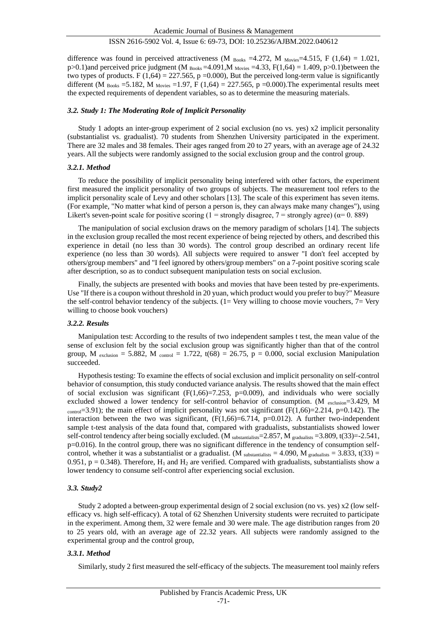difference was found in perceived attractiveness (M  $_{\text{Books}}$  =4.272, M  $_{\text{Movies}}$ =4.515, F (1,64) = 1.021, p>0.1)and perceived price judgment (M  $_{\text{Books}}$  =4.091,M  $_{\text{Movies}}$  =4.33, F(1,64) = 1.409, p>0.1)between the two types of products. F (1,64) = 227.565, p = 0.000), But the perceived long-term value is significantly different (M  $_{\text{Books}}$  =5.182, M  $_{\text{Movies}}$  =1.97, F (1,64) = 227.565, p =0.000). The experimental results meet the expected requirements of dependent variables, so as to determine the measuring materials.

#### *3.2. Study 1: The Moderating Role of Implicit Personality*

Study 1 adopts an inter-group experiment of 2 social exclusion (no vs. yes) x2 implicit personality (substantialist vs. gradualist). 70 students from Shenzhen University participated in the experiment. There are 32 males and 38 females. Their ages ranged from 20 to 27 years, with an average age of 24.32 years. All the subjects were randomly assigned to the social exclusion group and the control group.

#### *3.2.1. Method*

To reduce the possibility of implicit personality being interfered with other factors, the experiment first measured the implicit personality of two groups of subjects. The measurement tool refers to the implicit personality scale of Levy and other scholars [13]. The scale of this experiment has seven items. (For example, "No matter what kind of person a person is, they can always make many changes"), using Likert's seven-point scale for positive scoring (1 = strongly disagree, 7 = strongly agree) ( $\alpha$ = 0. 889)

The manipulation of social exclusion draws on the memory paradigm of scholars [14]. The subjects in the exclusion group recalled the most recent experience of being rejected by others, and described this experience in detail (no less than 30 words). The control group described an ordinary recent life experience (no less than 30 words). All subjects were required to answer "I don't feel accepted by others/group members" and "I feel ignored by others/group members" on a 7-point positive scoring scale after description, so as to conduct subsequent manipulation tests on social exclusion.

Finally, the subjects are presented with books and movies that have been tested by pre-experiments. Use "If there is a coupon without threshold in 20 yuan, which product would you prefer to buy?" Measure the self-control behavior tendency of the subjects. (1= Very willing to choose movie vouchers, 7= Very willing to choose book vouchers)

#### *3.2.2. Results*

Manipulation test: According to the results of two independent samples t test, the mean value of the sense of exclusion felt by the social exclusion group was significantly higher than that of the control group, M exclusion = 5.882, M control = 1.722, t(68) = 26.75, p = 0.000, social exclusion Manipulation succeeded.

Hypothesis testing: To examine the effects of social exclusion and implicit personality on self-control behavior of consumption, this study conducted variance analysis. The results showed that the main effect of social exclusion was significant  $(F(1,66)=7.253, p=0.009)$ , and individuals who were socially excluded showed a lower tendency for self-control behavior of consumption. (M exclusion=3.429, M control=3.91); the main effect of implicit personality was not significant (F(1,66)=2.214, p=0.142). The interaction between the two was significant,  $(F(1,66)=6.714, p=0.012)$ . A further two-independent sample t-test analysis of the data found that, compared with gradualists, substantialists showed lower self-control tendency after being socially excluded. (M substantialists=2.857, M gradualists =3.809, t(33)=-2.541, p=0.016). In the control group, there was no significant difference in the tendency of consumption selfcontrol, whether it was a substantialist or a gradualist. (M substantialists = 4.090, M gradualists = 3.833, t(33) = 0.951,  $p = 0.348$ ). Therefore,  $H_1$  and  $H_2$  are verified. Compared with gradualists, substantialists show a lower tendency to consume self-control after experiencing social exclusion.

#### *3.3. Study2*

Study 2 adopted a between-group experimental design of 2 social exclusion (no vs. yes) x2 (low selfefficacy vs. high self-efficacy). A total of 62 Shenzhen University students were recruited to participate in the experiment. Among them, 32 were female and 30 were male. The age distribution ranges from 20 to 25 years old, with an average age of 22.32 years. All subjects were randomly assigned to the experimental group and the control group,

#### *3.3.1. Method*

Similarly, study 2 first measured the self-efficacy of the subjects. The measurement tool mainly refers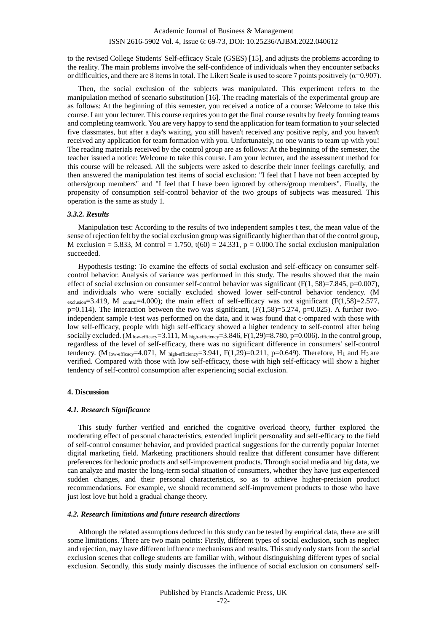to the revised College Students' Self-efficacy Scale (GSES) [15], and adjusts the problems according to the reality. The main problems involve the self-confidence of individuals when they encounter setbacks or difficulties, and there are 8 items in total. The Likert Scale is used to score 7 points positively ( $\alpha$ =0.907).

Then, the social exclusion of the subjects was manipulated. This experiment refers to the manipulation method of scenario substitution [16]. The reading materials of the experimental group are as follows: At the beginning of this semester, you received a notice of a course: Welcome to take this course. I am your lecturer. This course requires you to get the final course results by freely forming teams and completing teamwork. You are very happy to send the application for team formation to your selected five classmates, but after a day's waiting, you still haven't received any positive reply, and you haven't received any application for team formation with you. Unfortunately, no one wants to team up with you! The reading materials received by the control group are as follows: At the beginning of the semester, the teacher issued a notice: Welcome to take this course. I am your lecturer, and the assessment method for this course will be released. All the subjects were asked to describe their inner feelings carefully, and then answered the manipulation test items of social exclusion: "I feel that I have not been accepted by others/group members" and "I feel that I have been ignored by others/group members". Finally, the propensity of consumption self-control behavior of the two groups of subjects was measured. This operation is the same as study 1.

#### *3.3.2. Results*

Manipulation test: According to the results of two independent samples t test, the mean value of the sense of rejection felt by the social exclusion group was significantly higher than that of the control group, M exclusion = 5.833, M control = 1.750,  $t(60) = 24.331$ ,  $p = 0.000$ . The social exclusion manipulation succeeded.

Hypothesis testing: To examine the effects of social exclusion and self-efficacy on consumer selfcontrol behavior. Analysis of variance was performed in this study. The results showed that the main effect of social exclusion on consumer self-control behavior was significant ( $F(1, 58)=7.845$ ,  $p=0.007$ ), and individuals who were socially excluded showed lower self-control behavior tendency. (M exclusion=3.419, M control=4.000); the main effect of self-efficacy was not significant (F(1,58)=2.577,  $p=0.114$ ). The interaction between the two was significant,  $(F(1,58)=5.274, p=0.025)$ . A further twoindependent sample t-test was performed on the data, and it was found that c ompared with those with low self-efficacy, people with high self-efficacy showed a higher tendency to self-control after being socially excluded. (M<sub>low-efficacy</sub>=3.111, M<sub>high-efficiency</sub>=3.846, F(1,29)=8.780, p=0.006). In the control group, regardless of the level of self-efficacy, there was no significant difference in consumers' self-control tendency. (M low-efficacy=4.071, M high-efficiency=3.941, F(1,29)=0.211, p=0.649). Therefore, H<sub>1</sub> and H<sub>3</sub> are verified. Compared with those with low self-efficacy, those with high self-efficacy will show a higher tendency of self-control consumption after experiencing social exclusion.

#### **4. Discussion**

#### *4.1. Research Significance*

This study further verified and enriched the cognitive overload theory, further explored the moderating effect of personal characteristics, extended implicit personality and self-efficacy to the field of self-control consumer behavior, and provided practical suggestions for the currently popular Internet digital marketing field. Marketing practitioners should realize that different consumer have different preferences for hedonic products and self-improvement products. Through social media and big data, we can analyze and master the long-term social situation of consumers, whether they have just experienced sudden changes, and their personal characteristics, so as to achieve higher-precision product recommendations. For example, we should recommend self-improvement products to those who have just lost love but hold a gradual change theory.

#### *4.2. Research limitations and future research directions*

Although the related assumptions deduced in this study can be tested by empirical data, there are still some limitations. There are two main points: Firstly, different types of social exclusion, such as neglect and rejection, may have different influence mechanisms and results. This study only starts from the social exclusion scenes that college students are familiar with, without distinguishing different types of social exclusion. Secondly, this study mainly discusses the influence of social exclusion on consumers' self-